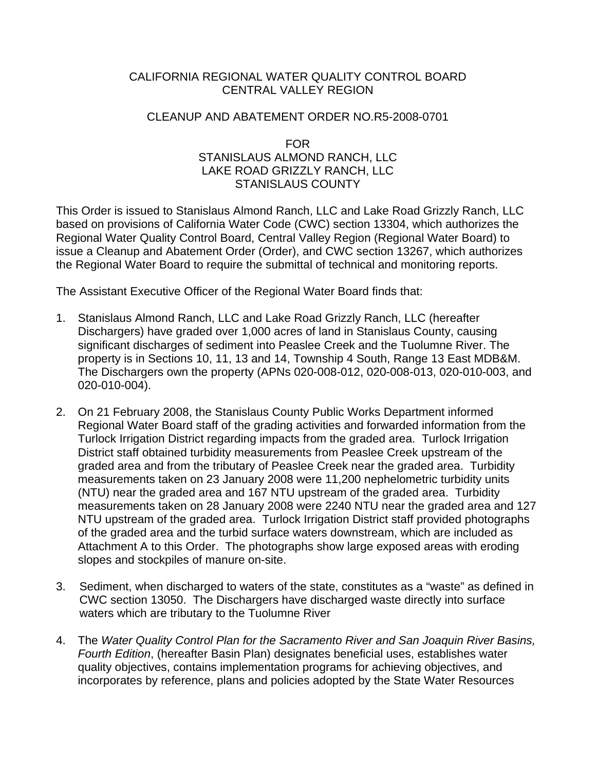## CALIFORNIA REGIONAL WATER QUALITY CONTROL BOARD CENTRAL VALLEY REGION

## CLEANUP AND ABATEMENT ORDER NO.R5-2008-0701

## FOR STANISLAUS ALMOND RANCH, LLC LAKE ROAD GRIZZLY RANCH, LLC STANISLAUS COUNTY

This Order is issued to Stanislaus Almond Ranch, LLC and Lake Road Grizzly Ranch, LLC based on provisions of California Water Code (CWC) section 13304, which authorizes the Regional Water Quality Control Board, Central Valley Region (Regional Water Board) to issue a Cleanup and Abatement Order (Order), and CWC section 13267, which authorizes the Regional Water Board to require the submittal of technical and monitoring reports.

The Assistant Executive Officer of the Regional Water Board finds that:

- 1. Stanislaus Almond Ranch, LLC and Lake Road Grizzly Ranch, LLC (hereafter Dischargers) have graded over 1,000 acres of land in Stanislaus County, causing significant discharges of sediment into Peaslee Creek and the Tuolumne River. The property is in Sections 10, 11, 13 and 14, Township 4 South, Range 13 East MDB&M. The Dischargers own the property (APNs 020-008-012, 020-008-013, 020-010-003, and 020-010-004).
- 2. On 21 February 2008, the Stanislaus County Public Works Department informed Regional Water Board staff of the grading activities and forwarded information from the Turlock Irrigation District regarding impacts from the graded area. Turlock Irrigation District staff obtained turbidity measurements from Peaslee Creek upstream of the graded area and from the tributary of Peaslee Creek near the graded area. Turbidity measurements taken on 23 January 2008 were 11,200 nephelometric turbidity units (NTU) near the graded area and 167 NTU upstream of the graded area. Turbidity measurements taken on 28 January 2008 were 2240 NTU near the graded area and 127 NTU upstream of the graded area. Turlock Irrigation District staff provided photographs of the graded area and the turbid surface waters downstream, which are included as Attachment A to this Order. The photographs show large exposed areas with eroding slopes and stockpiles of manure on-site.
- 3. Sediment, when discharged to waters of the state, constitutes as a "waste" as defined in CWC section 13050. The Dischargers have discharged waste directly into surface waters which are tributary to the Tuolumne River
- 4. The *Water Quality Control Plan for the Sacramento River and San Joaquin River Basins, Fourth Edition*, (hereafter Basin Plan) designates beneficial uses, establishes water quality objectives, contains implementation programs for achieving objectives, and incorporates by reference, plans and policies adopted by the State Water Resources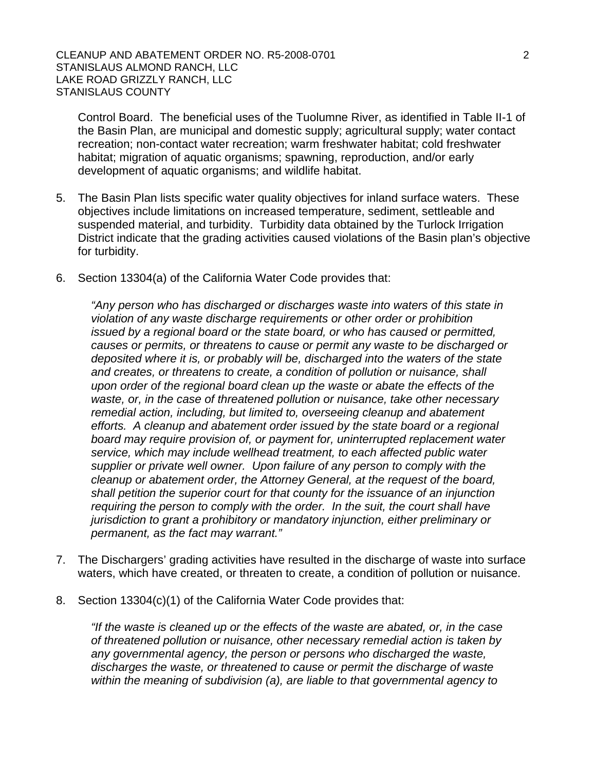Control Board. The beneficial uses of the Tuolumne River, as identified in Table II-1 of the Basin Plan, are municipal and domestic supply; agricultural supply; water contact recreation; non-contact water recreation; warm freshwater habitat; cold freshwater habitat; migration of aquatic organisms; spawning, reproduction, and/or early development of aquatic organisms; and wildlife habitat.

- 5. The Basin Plan lists specific water quality objectives for inland surface waters. These objectives include limitations on increased temperature, sediment, settleable and suspended material, and turbidity. Turbidity data obtained by the Turlock Irrigation District indicate that the grading activities caused violations of the Basin plan's objective for turbidity.
- 6. Section 13304(a) of the California Water Code provides that:

*"Any person who has discharged or discharges waste into waters of this state in violation of any waste discharge requirements or other order or prohibition issued by a regional board or the state board, or who has caused or permitted, causes or permits, or threatens to cause or permit any waste to be discharged or deposited where it is, or probably will be, discharged into the waters of the state and creates, or threatens to create, a condition of pollution or nuisance, shall upon order of the regional board clean up the waste or abate the effects of the waste, or, in the case of threatened pollution or nuisance, take other necessary remedial action, including, but limited to, overseeing cleanup and abatement efforts. A cleanup and abatement order issued by the state board or a regional board may require provision of, or payment for, uninterrupted replacement water service, which may include wellhead treatment, to each affected public water supplier or private well owner. Upon failure of any person to comply with the cleanup or abatement order, the Attorney General, at the request of the board, shall petition the superior court for that county for the issuance of an injunction requiring the person to comply with the order. In the suit, the court shall have jurisdiction to grant a prohibitory or mandatory injunction, either preliminary or permanent, as the fact may warrant."* 

- 7. The Dischargers' grading activities have resulted in the discharge of waste into surface waters, which have created, or threaten to create, a condition of pollution or nuisance.
- 8. Section 13304(c)(1) of the California Water Code provides that:

*"If the waste is cleaned up or the effects of the waste are abated, or, in the case of threatened pollution or nuisance, other necessary remedial action is taken by any governmental agency, the person or persons who discharged the waste, discharges the waste, or threatened to cause or permit the discharge of waste within the meaning of subdivision (a), are liable to that governmental agency to*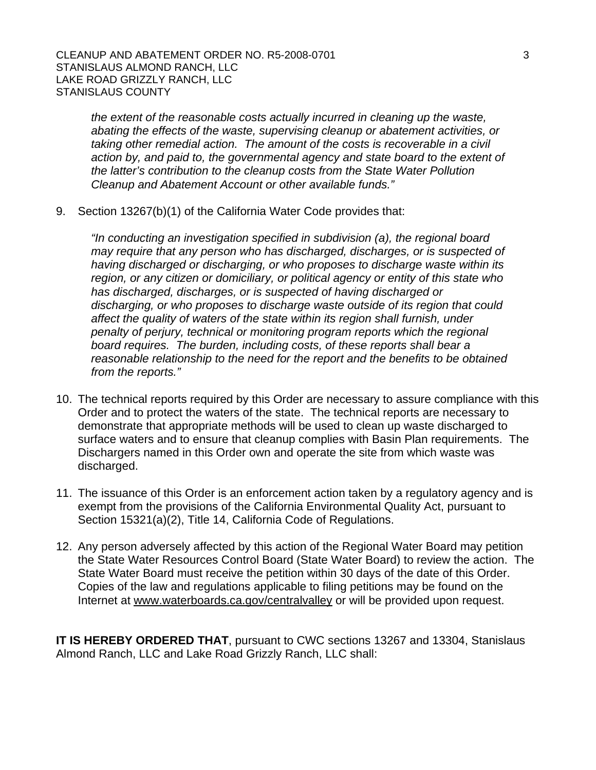*the extent of the reasonable costs actually incurred in cleaning up the waste, abating the effects of the waste, supervising cleanup or abatement activities, or taking other remedial action. The amount of the costs is recoverable in a civil action by, and paid to, the governmental agency and state board to the extent of the latter's contribution to the cleanup costs from the State Water Pollution Cleanup and Abatement Account or other available funds."* 

9. Section 13267(b)(1) of the California Water Code provides that:

*"In conducting an investigation specified in subdivision (a), the regional board may require that any person who has discharged, discharges, or is suspected of having discharged or discharging, or who proposes to discharge waste within its region, or any citizen or domiciliary, or political agency or entity of this state who has discharged, discharges, or is suspected of having discharged or discharging, or who proposes to discharge waste outside of its region that could affect the quality of waters of the state within its region shall furnish, under penalty of perjury, technical or monitoring program reports which the regional board requires. The burden, including costs, of these reports shall bear a reasonable relationship to the need for the report and the benefits to be obtained from the reports."* 

- 10. The technical reports required by this Order are necessary to assure compliance with this Order and to protect the waters of the state. The technical reports are necessary to demonstrate that appropriate methods will be used to clean up waste discharged to surface waters and to ensure that cleanup complies with Basin Plan requirements. The Dischargers named in this Order own and operate the site from which waste was discharged.
- 11. The issuance of this Order is an enforcement action taken by a regulatory agency and is exempt from the provisions of the California Environmental Quality Act, pursuant to Section 15321(a)(2), Title 14, California Code of Regulations.
- 12. Any person adversely affected by this action of the Regional Water Board may petition the State Water Resources Control Board (State Water Board) to review the action. The State Water Board must receive the petition within 30 days of the date of this Order. Copies of the law and regulations applicable to filing petitions may be found on the Internet at [www.waterboards.ca.gov/centralvalley](http://www.waterboards.ca.gov/centralvalley) or will be provided upon request.

**IT IS HEREBY ORDERED THAT**, pursuant to CWC sections 13267 and 13304, Stanislaus Almond Ranch, LLC and Lake Road Grizzly Ranch, LLC shall: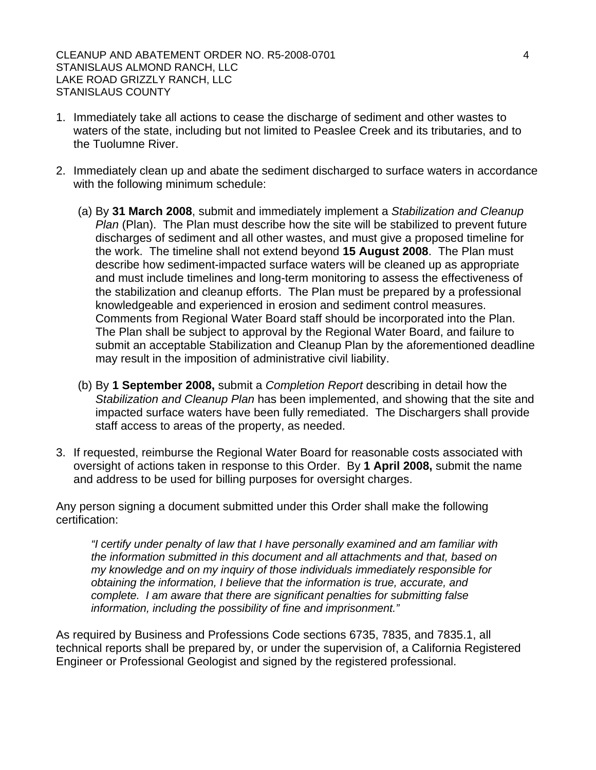CLEANUP AND ABATEMENT ORDER NO. R5-2008-0701 4 STANISLAUS ALMOND RANCH, LLC LAKE ROAD GRIZZLY RANCH, LLC STANISLAUS COUNTY

- 1. Immediately take all actions to cease the discharge of sediment and other wastes to waters of the state, including but not limited to Peaslee Creek and its tributaries, and to the Tuolumne River.
- 2. Immediately clean up and abate the sediment discharged to surface waters in accordance with the following minimum schedule:
	- (a) By **31 March 2008**, submit and immediately implement a *Stabilization and Cleanup Plan* (Plan). The Plan must describe how the site will be stabilized to prevent future discharges of sediment and all other wastes, and must give a proposed timeline for the work. The timeline shall not extend beyond **15 August 2008**. The Plan must describe how sediment-impacted surface waters will be cleaned up as appropriate and must include timelines and long-term monitoring to assess the effectiveness of the stabilization and cleanup efforts. The Plan must be prepared by a professional knowledgeable and experienced in erosion and sediment control measures. Comments from Regional Water Board staff should be incorporated into the Plan. The Plan shall be subject to approval by the Regional Water Board, and failure to submit an acceptable Stabilization and Cleanup Plan by the aforementioned deadline may result in the imposition of administrative civil liability.
	- (b) By **1 September 2008,** submit a *Completion Report* describing in detail how the *Stabilization and Cleanup Plan* has been implemented, and showing that the site and impacted surface waters have been fully remediated. The Dischargers shall provide staff access to areas of the property, as needed.
- 3. If requested, reimburse the Regional Water Board for reasonable costs associated with oversight of actions taken in response to this Order. By **1 April 2008,** submit the name and address to be used for billing purposes for oversight charges.

Any person signing a document submitted under this Order shall make the following certification:

*"I certify under penalty of law that I have personally examined and am familiar with the information submitted in this document and all attachments and that, based on my knowledge and on my inquiry of those individuals immediately responsible for obtaining the information, I believe that the information is true, accurate, and complete. I am aware that there are significant penalties for submitting false information, including the possibility of fine and imprisonment."* 

As required by Business and Professions Code sections 6735, 7835, and 7835.1, all technical reports shall be prepared by, or under the supervision of, a California Registered Engineer or Professional Geologist and signed by the registered professional.